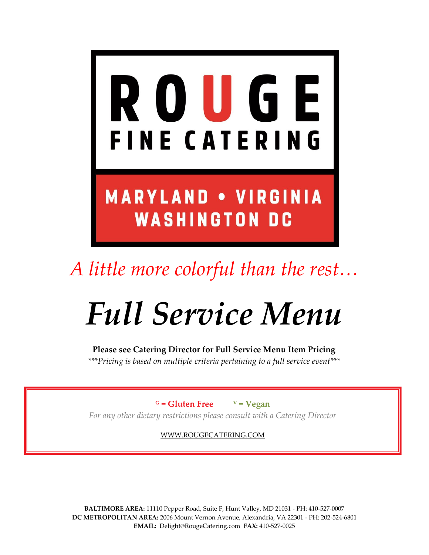

*A little more colorful than the rest…*

# *Full Service Menu*

**Please see Catering Director for Full Service Menu Item Pricing** *\*\*\*Pricing is based on multiple criteria pertaining to a full service event\*\*\**

 $G = Gluten Free$   $V = Vegan$ 

*For any other dietary restrictions please consult with a Catering Director*

[WWW.ROUGECATERING.COM](http://www.rougecatering.com/)

**BALTIMORE AREA:** 11110 Pepper Road, Suite F, Hunt Valley, MD 21031 - PH: 410-527-0007 **DC METROPOLITAN AREA:** 2006 Mount Vernon Avenue, Alexandria, VA 22301 - PH: 202-524-6801 **EMAIL:** Delight@RougeCatering.com **FAX:** 410-527-0025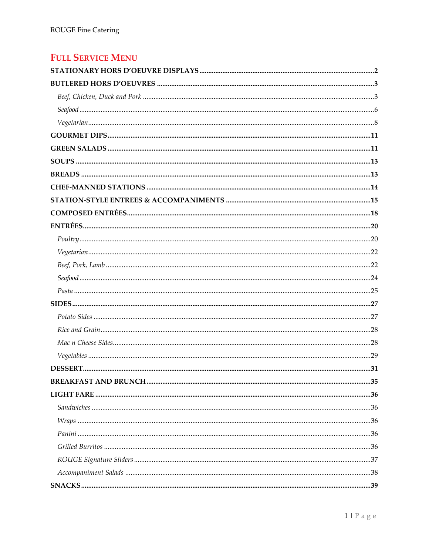# **FULL SERVICE MENU**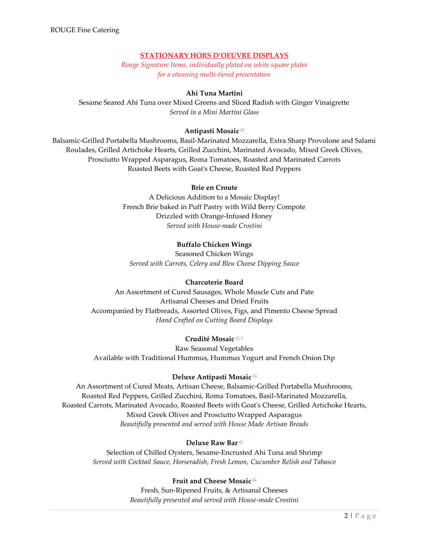# **STATIONARY HORS D'OEUVRE DISPLAYS**

*Rouge Signature Items, individually plated on white square plates for a stunning multi-tiered presentation*

# **Ahi Tuna Martini**

<span id="page-2-0"></span>Sesame Seared Ahi Tuna over Mixed Greens and Sliced Radish with Ginger Vinaigrette *Served in a Mini Martini Glass*

# **Antipasti Mosaic** <sup>G</sup>

Balsamic-Grilled Portabella Mushrooms, Basil-Marinated Mozzarella, Extra Sharp Provolone and Salami Roulades, Grilled Artichoke Hearts, Grilled Zucchini, Marinated Avocado, Mixed Greek Olives, Prosciutto Wrapped Asparagus, Roma Tomatoes, Roasted and Marinated Carrots Roasted Beets with Goat's Cheese, Roasted Red Peppers

## **Brie en Croute**

A Delicious Addition to a Mosaic Display! French Brie baked in Puff Pastry with Wild Berry Compote Drizzled with Orange-Infused Honey *Served with House-made Crostini*

# **Buffalo Chicken Wings**

Seasoned Chicken Wings *Served with Carrots, Celery and Bleu Cheese Dipping Sauce*

## **Charcuterie Board**

An Assortment of Cured Sausages, Whole Muscle Cuts and Pate Artisanal Cheeses and Dried Fruits Accompanied by Flatbreads, Assorted Olives, Figs, and Pimento Cheese Spread *Hand Crafted on Cutting Board Displays*

## **Crudité Mosaic** <sup>G</sup> <sup>V</sup>

Raw Seasonal Vegetables Available with Traditional Hummus, Hummus Yogurt and French Onion Dip

#### **Deluxe Antipasti Mosaic** <sup>G</sup>

An Assortment of Cured Meats, Artisan Cheese, Balsamic-Grilled Portabella Mushrooms, Roasted Red Peppers, Grilled Zucchini, Roma Tomatoes, Basil-Marinated Mozzarella, Roasted Carrots, Marinated Avocado, Roasted Beets with Goat's Cheese, Grilled Artichoke Hearts, Mixed Greek Olives and Prosciutto Wrapped Asparagus *Beautifully presented and served with House Made Artisan Breads*

## **Deluxe Raw Bar** <sup>G</sup>

Selection of Chilled Oysters, Sesame-Encrusted Ahi Tuna and Shrimp *Served with Cocktail Sauce, Horseradish, Fresh Lemon, Cucumber Relish and Tabasco*

## **Fruit and Cheese Mosaic** <sup>G</sup>

Fresh, Sun-Ripened Fruits, & Artisanal Cheeses *Beautifully presented and served with House-made Crostini*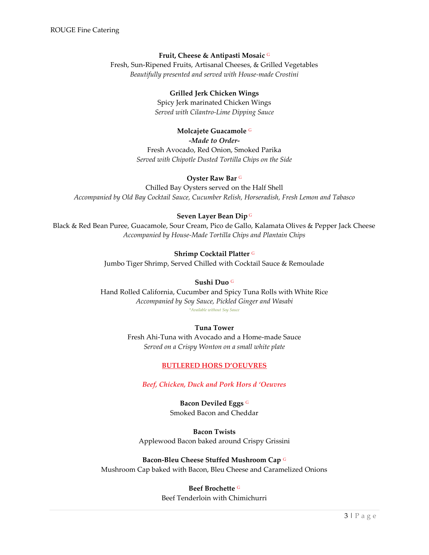#### **Fruit, Cheese & Antipasti Mosaic** <sup>G</sup>

Fresh, Sun-Ripened Fruits, Artisanal Cheeses, & Grilled Vegetables *Beautifully presented and served with House-made Crostini*

#### **Grilled Jerk Chicken Wings**

Spicy Jerk marinated Chicken Wings *Served with Cilantro-Lime Dipping Sauce*

#### **Molcajete Guacamole** <sup>G</sup>

*-Made to Order-*Fresh Avocado, Red Onion, Smoked Parika *Served with Chipotle Dusted Tortilla Chips on the Side*

#### **Oyster Raw Bar** <sup>G</sup>

Chilled Bay Oysters served on the Half Shell *Accompanied by Old Bay Cocktail Sauce, Cucumber Relish, Horseradish, Fresh Lemon and Tabasco*

#### **Seven Layer Bean Dip** <sup>G</sup>

Black & Red Bean Puree, Guacamole, Sour Cream, Pico de Gallo, Kalamata Olives & Pepper Jack Cheese *Accompanied by House-Made Tortilla Chips and Plantain Chips*

#### **Shrimp Cocktail Platter** <sup>G</sup>

Jumbo Tiger Shrimp, Served Chilled with Cocktail Sauce & Remoulade

#### **Sushi Duo** <sup>G</sup>

Hand Rolled California, Cucumber and Spicy Tuna Rolls with White Rice *Accompanied by Soy Sauce, Pickled Ginger and Wasabi \*Available without Soy Sauce* 

#### <span id="page-3-0"></span>**Tuna Tower**

<span id="page-3-1"></span>Fresh Ahi-Tuna with Avocado and a Home-made Sauce *Served on a Crispy Wonton on a small white plate*

#### **BUTLERED HORS D'OEUVRES**

*Beef, Chicken, Duck and Pork Hors d 'Oeuvres*

**Bacon Deviled Eggs** <sup>G</sup> Smoked Bacon and Cheddar

**Bacon Twists** Applewood Bacon baked around Crispy Grissini

#### **Bacon-Bleu Cheese Stuffed Mushroom Cap** <sup>G</sup>

Mushroom Cap baked with Bacon, Bleu Cheese and Caramelized Onions

#### **Beef Brochette** <sup>G</sup>

Beef Tenderloin with Chimichurri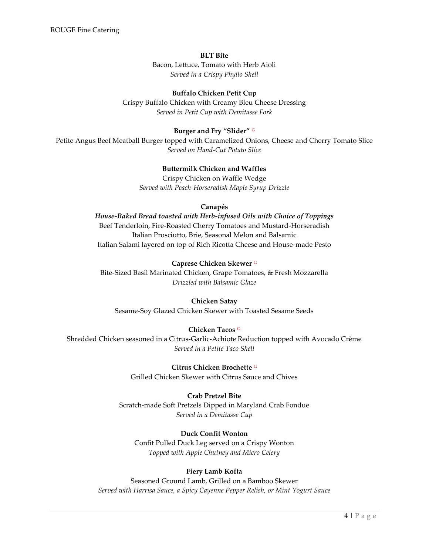#### **BLT Bite**

Bacon, Lettuce, Tomato with Herb Aioli *Served in a Crispy Phyllo Shell*

# **Buffalo Chicken Petit Cup**

Crispy Buffalo Chicken with Creamy Bleu Cheese Dressing *Served in Petit Cup with Demitasse Fork*

# **Burger and Fry "Slider"** <sup>G</sup>

Petite Angus Beef Meatball Burger topped with Caramelized Onions, Cheese and Cherry Tomato Slice *Served on Hand-Cut Potato Slice*

# **Buttermilk Chicken and Waffles**

Crispy Chicken on Waffle Wedge *Served with Peach-Horseradish Maple Syrup Drizzle*

#### **Canapés**

*House-Baked Bread toasted with Herb-infused Oils with Choice of Toppings* Beef Tenderloin, Fire-Roasted Cherry Tomatoes and Mustard-Horseradish Italian Prosciutto, Brie, Seasonal Melon and Balsamic Italian Salami layered on top of Rich Ricotta Cheese and House-made Pesto

## **Caprese Chicken Skewer** <sup>G</sup>

Bite-Sized Basil Marinated Chicken, Grape Tomatoes, & Fresh Mozzarella *Drizzled with Balsamic Glaze*

## **Chicken Satay**

Sesame-Soy Glazed Chicken Skewer with Toasted Sesame Seeds

# **Chicken Tacos** <sup>G</sup>

Shredded Chicken seasoned in a Citrus-Garlic-Achiote Reduction topped with Avocado Crème *Served in a Petite Taco Shell*

> **Citrus Chicken Brochette** <sup>G</sup> Grilled Chicken Skewer with Citrus Sauce and Chives

## **Crab Pretzel Bite**

Scratch-made Soft Pretzels Dipped in Maryland Crab Fondue *Served in a Demitasse Cup*

## **Duck Confit Wonton**

Confit Pulled Duck Leg served on a Crispy Wonton *Topped with Apple Chutney and Micro Celery*

# **Fiery Lamb Kofta**

Seasoned Ground Lamb, Grilled on a Bamboo Skewer *Served with Harrisa Sauce, a Spicy Cayenne Pepper Relish, or Mint Yogurt Sauce*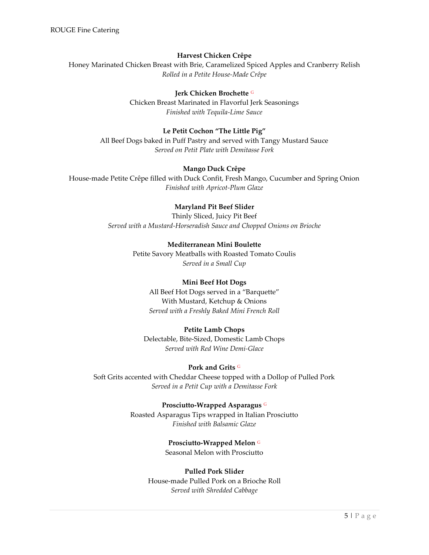# **Harvest Chicken Crêpe**

Honey Marinated Chicken Breast with Brie, Caramelized Spiced Apples and Cranberry Relish *Rolled in a Petite House-Made Crêpe*

# **Jerk Chicken Brochette** <sup>G</sup>

Chicken Breast Marinated in Flavorful Jerk Seasonings *Finished with Tequila-Lime Sauce*

# **Le Petit Cochon "The Little Pig"**

All Beef Dogs baked in Puff Pastry and served with Tangy Mustard Sauce *Served on Petit Plate with Demitasse Fork*

## **Mango Duck Crêpe**

House-made Petite Crêpe filled with Duck Confit, Fresh Mango, Cucumber and Spring Onion *Finished with Apricot-Plum Glaze*

## **Maryland Pit Beef Slider**

Thinly Sliced, Juicy Pit Beef *Served with a Mustard-Horseradish Sauce and Chopped Onions on Brioche*

## **Mediterranean Mini Boulette**

Petite Savory Meatballs with Roasted Tomato Coulis *Served in a Small Cup*

## **Mini Beef Hot Dogs**

All Beef Hot Dogs served in a "Barquette" With Mustard, Ketchup & Onions *Served with a Freshly Baked Mini French Roll*

## **Petite Lamb Chops**

Delectable, Bite-Sized, Domestic Lamb Chops *Served with Red Wine Demi-Glace*

#### **Pork and Grits** <sup>G</sup>

Soft Grits accented with Cheddar Cheese topped with a Dollop of Pulled Pork *Served in a Petit Cup with a Demitasse Fork*

#### **Prosciutto-Wrapped Asparagus** <sup>G</sup>

Roasted Asparagus Tips wrapped in Italian Prosciutto *Finished with Balsamic Glaze*

# **Prosciutto-Wrapped Melon** <sup>G</sup>

Seasonal Melon with Prosciutto

#### **Pulled Pork Slider**

House-made Pulled Pork on a Brioche Roll *Served with Shredded Cabbage*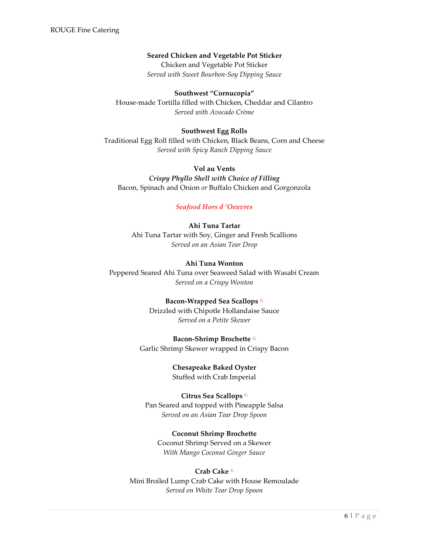# **Seared Chicken and Vegetable Pot Sticker**

Chicken and Vegetable Pot Sticker *Served with Sweet Bourbon-Soy Dipping Sauce*

**Southwest "Cornucopia"** House-made Tortilla filled with Chicken, Cheddar and Cilantro *Served with Avocado Crème*

#### **Southwest Egg Rolls**

Traditional Egg Roll filled with Chicken, Black Beans, Corn and Cheese *Served with Spicy Ranch Dipping Sauce*

# **Vol au Vents** *Crispy Phyllo Shell with Choice of Filling* Bacon, Spinach and Onion *or* Buffalo Chicken and Gorgonzola

#### <span id="page-6-0"></span>*Seafood Hors d 'Oeuvres*

# **Ahi Tuna Tartar**

Ahi Tuna Tartar with Soy, Ginger and Fresh Scallions *Served on an Asian Tear Drop*

#### **Ahi Tuna Wonton**

Peppered Seared Ahi Tuna over Seaweed Salad with Wasabi Cream *Served on a Crispy Wonton*

#### **Bacon-Wrapped Sea Scallops** <sup>G</sup>

Drizzled with Chipotle Hollandaise Sauce *Served on a Petite Skewer*

**Bacon-Shrimp Brochette** <sup>G</sup> Garlic Shrimp Skewer wrapped in Crispy Bacon

> **Chesapeake Baked Oyster** Stuffed with Crab Imperial

**Citrus Sea Scallops** <sup>G</sup> Pan Seared and topped with Pineapple Salsa *Served on an Asian Tear Drop Spoon*

#### **Coconut Shrimp Brochette**

Coconut Shrimp Served on a Skewer *With Mango Coconut Ginger Sauce*

#### **Crab Cake** <sup>G</sup>

Mini Broiled Lump Crab Cake with House Remoulade *Served on White Tear Drop Spoon*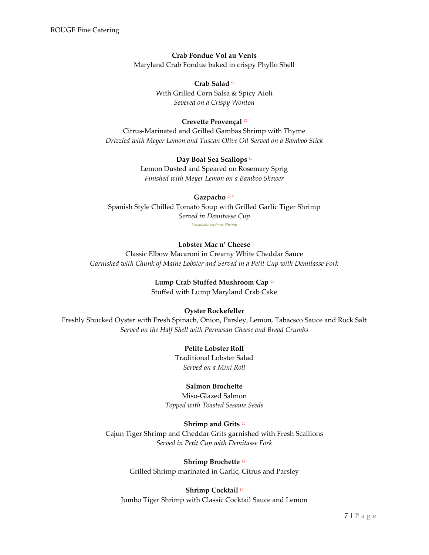# **Crab Fondue Vol au Vents**

Maryland Crab Fondue baked in crispy Phyllo Shell

**Crab Salad** <sup>G</sup> With Grilled Corn Salsa & Spicy Aioli *Severed on a Crispy Wonton*

## **Crevette Provençal** <sup>G</sup>

Citrus-Marinated and Grilled Gambas Shrimp with Thyme *Drizzled with Meyer Lemon and Tuscan Olive Oil Served on a Bamboo Stick*

> **Day Boat Sea Scallops** <sup>G</sup> Lemon Dusted and Speared on Rosemary Sprig *Finished with Meyer Lemon on a Bamboo Skewer*

#### **Gazpacho** G V

Spanish Style Chilled Tomato Soup with Grilled Garlic Tiger Shrimp *Served in Demitasse Cup \*Available without Shrimp*

## **Lobster Mac n' Cheese**

Classic Elbow Macaroni in Creamy White Cheddar Sauce *Garnished with Chunk of Maine Lobster and Served in a Petit Cup with Demitasse Fork*

## **Lump Crab Stuffed Mushroom Cap** <sup>G</sup>

Stuffed with Lump Maryland Crab Cake

## **Oyster Rockefeller**

Freshly Shucked Oyster with Fresh Spinach, Onion, Parsley, Lemon, Tabacsco Sauce and Rock Salt *Served on the Half Shell with Parmesan Cheese and Bread Crumbs*

## **Petite Lobster Roll**

Traditional Lobster Salad *Served on a Mini Roll*

## **Salmon Brochette**

Miso-Glazed Salmon *Topped with Toasted Sesame Seeds*

## **Shrimp and Grits** <sup>G</sup>

Cajun Tiger Shrimp and Cheddar Grits garnished with Fresh Scallions *Served in Petit Cup with Demitasse Fork*

# **Shrimp Brochette** <sup>G</sup>

Grilled Shrimp marinated in Garlic, Citrus and Parsley

## **Shrimp Cocktail** <sup>G</sup>

Jumbo Tiger Shrimp with Classic Cocktail Sauce and Lemon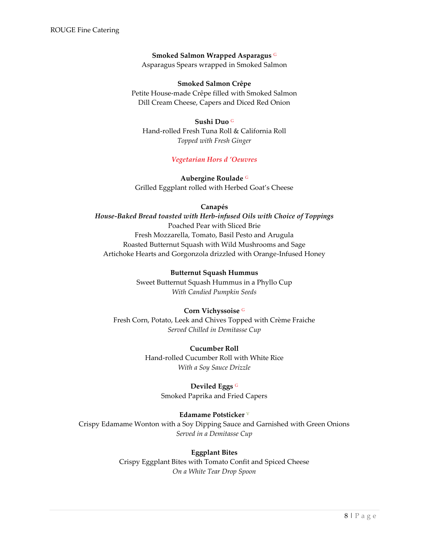# **Smoked Salmon Wrapped Asparagus** <sup>G</sup>

Asparagus Spears wrapped in Smoked Salmon

#### **Smoked Salmon Crêpe**

Petite House-made Crêpe filled with Smoked Salmon Dill Cream Cheese, Capers and Diced Red Onion

#### **Sushi Duo** <sup>G</sup>

Hand-rolled Fresh Tuna Roll & California Roll *Topped with Fresh Ginger*

*Vegetarian Hors d 'Oeuvres*

**Aubergine Roulade** <sup>G</sup> Grilled Eggplant rolled with Herbed Goat's Cheese

#### **Canapés**

# <span id="page-8-0"></span>*House-Baked Bread toasted with Herb-infused Oils with Choice of Toppings* Poached Pear with Sliced Brie Fresh Mozzarella, Tomato, Basil Pesto and Arugula Roasted Butternut Squash with Wild Mushrooms and Sage Artichoke Hearts and Gorgonzola drizzled with Orange-Infused Honey

# **Butternut Squash Hummus**

Sweet Butternut Squash Hummus in a Phyllo Cup *With Candied Pumpkin Seeds* 

## **Corn Vichyssoise** <sup>G</sup>

Fresh Corn, Potato, Leek and Chives Topped with Crème Fraiche *Served Chilled in Demitasse Cup*

# **Cucumber Roll** Hand-rolled Cucumber Roll with White Rice *With a Soy Sauce Drizzle*

# **Deviled Eggs** <sup>G</sup>

Smoked Paprika and Fried Capers

## **Edamame Potsticker** <sup>V</sup>

Crispy Edamame Wonton with a Soy Dipping Sauce and Garnished with Green Onions *Served in a Demitasse Cup*

# **Eggplant Bites**

Crispy Eggplant Bites with Tomato Confit and Spiced Cheese *On a White Tear Drop Spoon*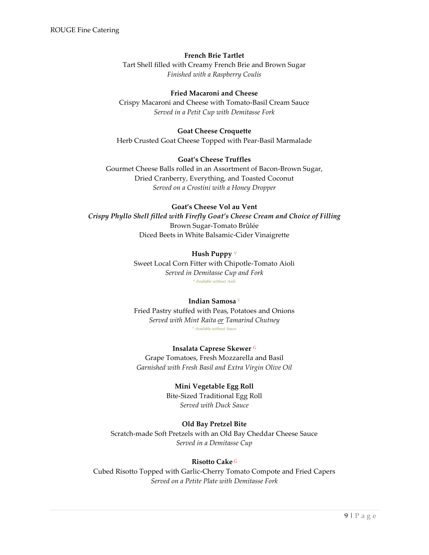#### **French Brie Tartlet**

Tart Shell filled with Creamy French Brie and Brown Sugar *Finished with a Raspberry Coulis*

#### **Fried Macaroni and Cheese**

Crispy Macaroni and Cheese with Tomato-Basil Cream Sauce *Served in a Petit Cup with Demitasse Fork*

#### **Goat Cheese Croquette** Herb Crusted Goat Cheese Topped with Pear-Basil Marmalade

#### **Goat's Cheese Truffles**

Gourmet Cheese Balls rolled in an Assortment of Bacon-Brown Sugar, Dried Cranberry, Everything, and Toasted Coconut *Served on a Crostini with a Honey Dropper*

#### **Goat's Cheese Vol au Vent**

*Crispy Phyllo Shell filled with Firefly Goat's Cheese Cream and Choice of Filling* Brown Sugar-Tomato Brûlée Diced Beets in White Balsamic-Cider Vinaigrette

#### **Hush Puppy** <sup>V</sup>

Sweet Local Corn Fitter with Chipotle-Tomato Aioli *Served in Demitasse Cup and Fork \* Available without Aioli*

#### **Indian Samosa** <sup>V</sup>

Fried Pastry stuffed with Peas, Potatoes and Onions *Served with Mint Raita or Tamarind Chutney \* Available without Sauce*

# **Insalata Caprese Skewer** <sup>G</sup>

Grape Tomatoes, Fresh Mozzarella and Basil *Garnished with Fresh Basil and Extra Virgin Olive Oil*

#### **Mini Vegetable Egg Roll**

Bite-Sized Traditional Egg Roll *Served with Duck Sauce*

#### **Old Bay Pretzel Bite**

Scratch-made Soft Pretzels with an Old Bay Cheddar Cheese Sauce *Served in a Demitasse Cup*

#### **Risotto Cake** <sup>G</sup>

Cubed Risotto Topped with Garlic-Cherry Tomato Compote and Fried Capers *Served on a Petite Plate with Demitasse Fork*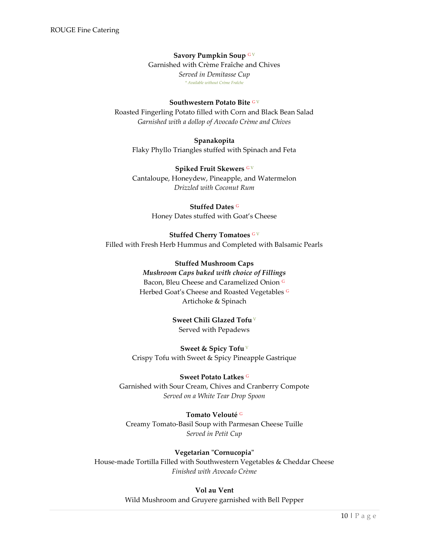#### **Savory Pumpkin Soup** <sup>G</sup> <sup>V</sup>

Garnished with Crème Fraîche and Chives *Served in Demitasse Cup \* Available without Crème Fraîche*

#### **Southwestern Potato Bite GV**

Roasted Fingerling Potato filled with Corn and Black Bean Salad *Garnished with a dollop of Avocado Crème and Chives*

**Spanakopita** Flaky Phyllo Triangles stuffed with Spinach and Feta

**Spiked Fruit Skewers** G V Cantaloupe, Honeydew, Pineapple, and Watermelon *Drizzled with Coconut Rum*

> **Stuffed Dates** <sup>G</sup> Honey Dates stuffed with Goat's Cheese

**Stuffed Cherry Tomatoes** GV Filled with Fresh Herb Hummus and Completed with Balsamic Pearls

> **Stuffed Mushroom Caps** *Mushroom Caps baked with choice of Fillings* Bacon, Bleu Cheese and Caramelized Onion <sup>G</sup> Herbed Goat's Cheese and Roasted Vegetables G Artichoke & Spinach

> > **Sweet Chili Glazed Tofu** <sup>V</sup> Served with Pepadews

**Sweet & Spicy Tofu** <sup>V</sup> Crispy Tofu with Sweet & Spicy Pineapple Gastrique

**Sweet Potato Latkes** <sup>G</sup> Garnished with Sour Cream, Chives and Cranberry Compote *Served on a White Tear Drop Spoon*

**Tomato Velouté** <sup>G</sup> Creamy Tomato-Basil Soup with Parmesan Cheese Tuille *Served in Petit Cup*

**Vegetarian "Cornucopia"** House-made Tortilla Filled with Southwestern Vegetables & Cheddar Cheese *Finished with Avocado Crème*

> **Vol au Vent** Wild Mushroom and Gruyere garnished with Bell Pepper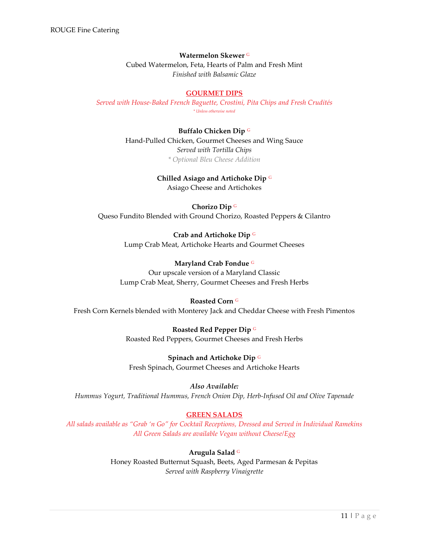#### **Watermelon Skewer** <sup>G</sup>

Cubed Watermelon, Feta, Hearts of Palm and Fresh Mint *Finished with Balsamic Glaze*

#### **GOURMET DIPS**

<span id="page-11-0"></span>*Served with House-Baked French Baguette, Crostini, Pita Chips and Fresh Crudités \* Unless otherwise noted*

> **Buffalo Chicken Dip** <sup>G</sup> Hand-Pulled Chicken, Gourmet Cheeses and Wing Sauce *Served with Tortilla Chips \* Optional Bleu Cheese Addition*

#### **Chilled Asiago and Artichoke Dip** <sup>G</sup>

Asiago Cheese and Artichokes

**Chorizo Dip** <sup>G</sup> Queso Fundito Blended with Ground Chorizo, Roasted Peppers & Cilantro

> **Crab and Artichoke Dip** <sup>G</sup> Lump Crab Meat, Artichoke Hearts and Gourmet Cheeses

**Maryland Crab Fondue** <sup>G</sup> Our upscale version of a Maryland Classic Lump Crab Meat, Sherry, Gourmet Cheeses and Fresh Herbs

#### **Roasted Corn** <sup>G</sup>

Fresh Corn Kernels blended with Monterey Jack and Cheddar Cheese with Fresh Pimentos

**Roasted Red Pepper Dip** <sup>G</sup> Roasted Red Peppers, Gourmet Cheeses and Fresh Herbs

**Spinach and Artichoke Dip** <sup>G</sup> Fresh Spinach, Gourmet Cheeses and Artichoke Hearts

*Also Available:* 

*Hummus Yogurt, Traditional Hummus, French Onion Dip, Herb-Infused Oil and Olive Tapenade*

## **GREEN SALADS**

<span id="page-11-1"></span>*All salads available as "Grab 'n Go" for Cocktail Receptions, Dressed and Served in Individual Ramekins All Green Salads are available Vegan without Cheese/Egg*

**Arugula Salad** <sup>G</sup>

Honey Roasted Butternut Squash, Beets, Aged Parmesan & Pepitas *Served with Raspberry Vinaigrette*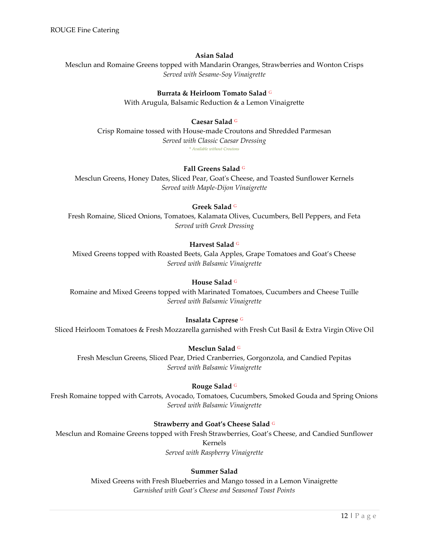#### **Asian Salad**

Mesclun and Romaine Greens topped with Mandarin Oranges, Strawberries and Wonton Crisps *Served with Sesame-Soy Vinaigrette*

#### **Burrata & Heirloom Tomato Salad** <sup>G</sup>

With Arugula, Balsamic Reduction & a Lemon Vinaigrette

#### **Caesar Salad** <sup>G</sup>

Crisp Romaine tossed with House-made Croutons and Shredded Parmesan *Served with Classic Caesar Dressing* \* *Available without Croutons*

#### **Fall Greens Salad** <sup>G</sup>

Mesclun Greens, Honey Dates, Sliced Pear, Goat's Cheese, and Toasted Sunflower Kernels *Served with Maple-Dijon Vinaigrette*

#### **Greek Salad** <sup>G</sup>

Fresh Romaine, Sliced Onions, Tomatoes, Kalamata Olives, Cucumbers, Bell Peppers, and Feta *Served with Greek Dressing*

#### **Harvest Salad** <sup>G</sup>

Mixed Greens topped with Roasted Beets, Gala Apples, Grape Tomatoes and Goat's Cheese *Served with Balsamic Vinaigrette*

#### **House Salad** <sup>G</sup>

Romaine and Mixed Greens topped with Marinated Tomatoes, Cucumbers and Cheese Tuille *Served with Balsamic Vinaigrette*

#### **Insalata Caprese** <sup>G</sup>

Sliced Heirloom Tomatoes & Fresh Mozzarella garnished with Fresh Cut Basil & Extra Virgin Olive Oil

#### **Mesclun Salad** <sup>G</sup>

Fresh Mesclun Greens, Sliced Pear, Dried Cranberries, Gorgonzola, and Candied Pepitas *Served with Balsamic Vinaigrette*

#### **Rouge Salad** <sup>G</sup>

Fresh Romaine topped with Carrots, Avocado, Tomatoes, Cucumbers, Smoked Gouda and Spring Onions *Served with Balsamic Vinaigrette*

#### **Strawberry and Goat's Cheese Salad** <sup>G</sup>

Mesclun and Romaine Greens topped with Fresh Strawberries, Goat's Cheese, and Candied Sunflower Kernels *Served with Raspberry Vinaigrette*

# **Summer Salad**

Mixed Greens with Fresh Blueberries and Mango tossed in a Lemon Vinaigrette *Garnished with Goat's Cheese and Seasoned Toast Points*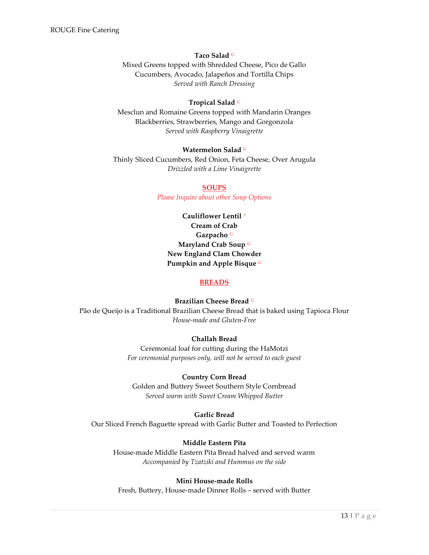#### **Taco Salad** <sup>G</sup>

Mixed Greens topped with Shredded Cheese, Pico de Gallo Cucumbers, Avocado, Jalapeños and Tortilla Chips *Served with Ranch Dressing*

#### **Tropical Salad** <sup>G</sup>

Mesclun and Romaine Greens topped with Mandarin Oranges Blackberries, Strawberries, Mango and Gorgonzola *Served with Raspberry Vinaigrette*

#### **Watermelon Salad** <sup>G</sup>

<span id="page-13-0"></span>Thinly Sliced Cucumbers, Red Onion, Feta Cheese, Over Arugula *Drizzled with a Lime Vinaigrette*

#### **SOUPS**

*Please Inquire about other Soup Options*

**Cauliflower Lentil** <sup>V</sup> **Cream of Crab Gazpacho** <sup>G</sup> **Maryland Crab Soup** <sup>G</sup> **New England Clam Chowder Pumpkin and Apple Bisque** <sup>G</sup>

#### **BREADS**

**Brazilian Cheese Bread** <sup>G</sup>

<span id="page-13-1"></span>Pão de Queijo is a Traditional Brazilian Cheese Bread that is baked using Tapioca Flour *House-made and Gluten-Free*

# **Challah Bread**

Ceremonial loaf for cutting during the HaMotzi *For ceremonial purposes only, will not be served to each guest*

#### **Country Corn Bread**

Golden and Buttery Sweet Southern Style Cornbread *Served warm with Sweet Cream Whipped Butter*

#### **Garlic Bread**

Our Sliced French Baguette spread with Garlic Butter and Toasted to Perfection

## **Middle Eastern Pita**

House-made Middle Eastern Pita Bread halved and served warm *Accompanied by Tzatziki and Hummus on the side*

#### **Mini House-made Rolls**

Fresh, Buttery, House-made Dinner Rolls – served with Butter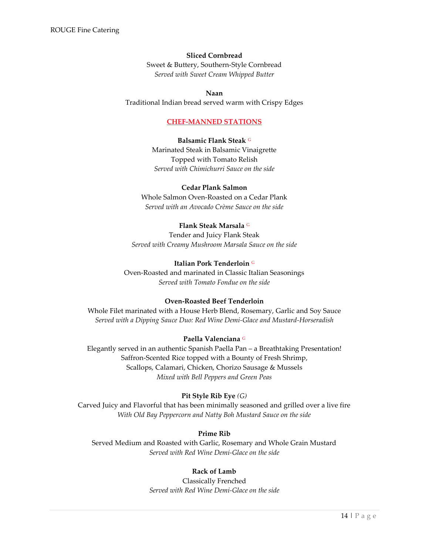#### **Sliced Cornbread**

Sweet & Buttery, Southern-Style Cornbread *Served with Sweet Cream Whipped Butter*

#### **Naan**

<span id="page-14-0"></span>Traditional Indian bread served warm with Crispy Edges

#### **CHEF-MANNED STATIONS**

#### **Balsamic Flank Steak** <sup>G</sup>

Marinated Steak in Balsamic Vinaigrette Topped with Tomato Relish *Served with Chimichurri Sauce on the side*

#### **Cedar Plank Salmon**

Whole Salmon Oven-Roasted on a Cedar Plank *Served with an Avocado Crème Sauce on the side*

#### **Flank Steak Marsala** <sup>G</sup>

Tender and Juicy Flank Steak *Served with Creamy Mushroom Marsala Sauce on the side*

#### **Italian Pork Tenderloin** <sup>G</sup>

Oven-Roasted and marinated in Classic Italian Seasonings *Served with Tomato Fondue on the side*

#### **Oven-Roasted Beef Tenderloin**

Whole Filet marinated with a House Herb Blend, Rosemary, Garlic and Soy Sauce *Served with a Dipping Sauce Duo: Red Wine Demi-Glace and Mustard-Horseradish*

#### **Paella Valenciana** <sup>G</sup>

Elegantly served in an authentic Spanish Paella Pan – a Breathtaking Presentation! Saffron-Scented Rice topped with a Bounty of Fresh Shrimp, Scallops, Calamari, Chicken, Chorizo Sausage & Mussels *Mixed with Bell Peppers and Green Peas*

#### **Pit Style Rib Eye** *(G)*

Carved Juicy and Flavorful that has been minimally seasoned and grilled over a live fire *With Old Bay Peppercorn and Natty Boh Mustard Sauce on the side*

#### **Prime Rib**

Served Medium and Roasted with Garlic, Rosemary and Whole Grain Mustard *Served with Red Wine Demi-Glace on the side*

#### **Rack of Lamb**

Classically Frenched *Served with Red Wine Demi-Glace on the side*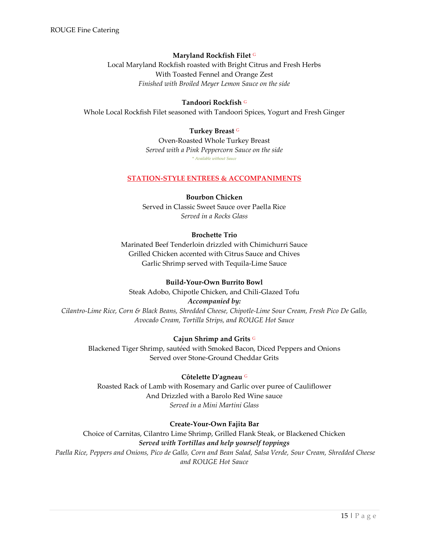#### **Maryland Rockfish Filet** <sup>G</sup>

Local Maryland Rockfish roasted with Bright Citrus and Fresh Herbs With Toasted Fennel and Orange Zest *Finished with Broiled Meyer Lemon Sauce on the side*

#### **Tandoori Rockfish** <sup>G</sup>

<span id="page-15-0"></span>Whole Local Rockfish Filet seasoned with Tandoori Spices, Yogurt and Fresh Ginger

#### **Turkey Breast** <sup>G</sup>

Oven-Roasted Whole Turkey Breast *Served with a Pink Peppercorn Sauce on the side* \* *Available without Sauce*

#### **STATION-STYLE ENTREES & ACCOMPANIMENTS**

#### **Bourbon Chicken**

Served in Classic Sweet Sauce over Paella Rice *Served in a Rocks Glass*

## **Brochette Trio**

Marinated Beef Tenderloin drizzled with Chimichurri Sauce Grilled Chicken accented with Citrus Sauce and Chives Garlic Shrimp served with Tequila-Lime Sauce

#### **Build-Your-Own Burrito Bowl**

Steak Adobo, Chipotle Chicken, and Chili-Glazed Tofu

*Accompanied by:*

*Cilantro-Lime Rice, Corn & Black Beans, Shredded Cheese, Chipotle-Lime Sour Cream, Fresh Pico De Gallo, Avocado Cream, Tortilla Strips, and ROUGE Hot Sauce*

#### **Cajun Shrimp and Grits** <sup>G</sup>

Blackened Tiger Shrimp, sautéed with Smoked Bacon, Diced Peppers and Onions Served over Stone-Ground Cheddar Grits

#### **Côtelette D'agneau** <sup>G</sup>

Roasted Rack of Lamb with Rosemary and Garlic over puree of Cauliflower And Drizzled with a Barolo Red Wine sauce *Served in a Mini Martini Glass*

#### **Create-Your-Own Fajita Bar**

Choice of Carnitas, Cilantro Lime Shrimp, Grilled Flank Steak, or Blackened Chicken *Served with Tortillas and help yourself toppings Paella Rice, Peppers and Onions, Pico de Gallo, Corn and Bean Salad, Salsa Verde, Sour Cream, Shredded Cheese* 

*and ROUGE Hot Sauce*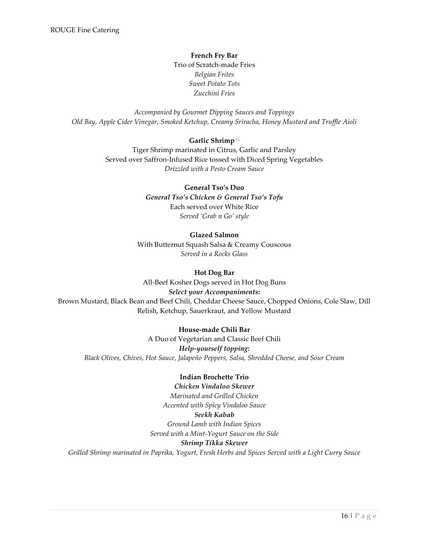**French Fry Bar** Trio of Scratch-made Fries *Belgian Frites Sweet Potato Tots Zucchini Fries*

*Accompanied by Gourmet Dipping Sauces and Toppings Old Bay, Apple Cider Vinegar, Smoked Ketchup, Creamy Sriracha, Honey Mustard and Truffle Aioli*

#### **Garlic Shrimp** <sup>G</sup>

Tiger Shrimp marinated in Citrus, Garlic and Parsley Served over Saffron-Infused Rice tossed with Diced Spring Vegetables *Drizzled with a Pesto Cream Sauce*

#### **General Tso's Duo**

*General Tso's Chicken & General Tso's Tofu* Each served over White Rice *Served 'Grab n Go' style*

#### **Glazed Salmon**

With Butternut Squash Salsa & Creamy Couscous *Served in a Rocks Glass*

#### **Hot Dog Bar**

All-Beef Kosher Dogs served in Hot Dog Buns *Select your Accompaniments:* Brown Mustard, Black Bean and Beef Chili, Cheddar Cheese Sauce, Chopped Onions, Cole Slaw, Dill Relish, Ketchup, Sauerkraut, and Yellow Mustard

#### **House-made Chili Bar**

A Duo of Vegetarian and Classic Beef Chili *Help-yourself topping: Black Olives, Chives, Hot Sauce, Jalapeño Peppers, Salsa, Shredded Cheese, and Sour Cream*

#### **Indian Brochette Trio**

*Chicken Vindaloo Skewer Marinated and Grilled Chicken Accented with Spicy Vindaloo Sauce Seekh Kabab Ground Lamb with Indian Spices Served with a Mint-Yogurt Sauce on the Side Shrimp Tikka Skewer Grilled Shrimp marinated in Paprika, Yogurt, Fresh Herbs and Spices Served with a Light Curry Sauce*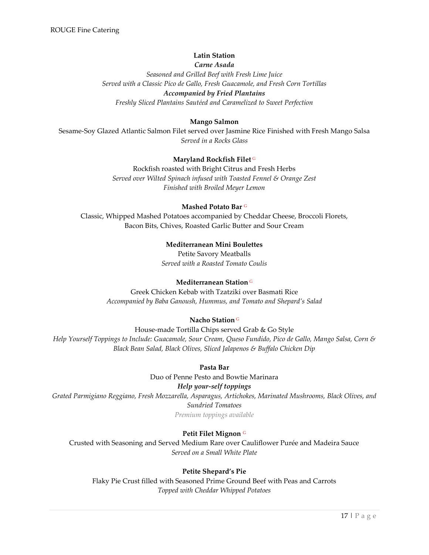# **Latin Station**

*Carne Asada*

*Seasoned and Grilled Beef with Fresh Lime Juice Served with a Classic Pico de Gallo, Fresh Guacamole, and Fresh Corn Tortillas Accompanied by Fried Plantains Freshly Sliced Plantains Sautéed and Caramelized to Sweet Perfection*

# **Mango Salmon**

Sesame-Soy Glazed Atlantic Salmon Filet served over Jasmine Rice Finished with Fresh Mango Salsa *Served in a Rocks Glass*

## **Maryland Rockfish Filet** <sup>G</sup>

Rockfish roasted with Bright Citrus and Fresh Herbs *Served over Wilted Spinach infused with Toasted Fennel & Orange Zest Finished with Broiled Meyer Lemon*

## **Mashed Potato Bar** <sup>G</sup>

Classic, Whipped Mashed Potatoes accompanied by Cheddar Cheese, Broccoli Florets, Bacon Bits, Chives, Roasted Garlic Butter and Sour Cream

# **Mediterranean Mini Boulettes**

Petite Savory Meatballs *Served with a Roasted Tomato Coulis*

## **Mediterranean Station** <sup>G</sup>

Greek Chicken Kebab with Tzatziki over Basmati Rice *Accompanied by Baba Ganoush, Hummus, and Tomato and Shepard's Salad*

# **Nacho Station** <sup>G</sup>

House-made Tortilla Chips served Grab & Go Style *Help Yourself Toppings to Include: Guacamole, Sour Cream, Queso Fundido, Pico de Gallo, Mango Salsa, Corn & Black Bean Salad, Black Olives, Sliced Jalapenos & Buffalo Chicken Dip* 

## **Pasta Bar**

Duo of Penne Pesto and Bowtie Marinara

## *Help your-self toppings*

*Grated Parmigiano Reggiano, Fresh Mozzarella, Asparagus, Artichokes, Marinated Mushrooms, Black Olives, and Sundried Tomatoes*

*Premium toppings available*

# **Petit Filet Mignon** <sup>G</sup>

Crusted with Seasoning and Served Medium Rare over Cauliflower Purée and Madeira Sauce *Served on a Small White Plate*

## **Petite Shepard's Pie**

Flaky Pie Crust filled with Seasoned Prime Ground Beef with Peas and Carrots *Topped with Cheddar Whipped Potatoes*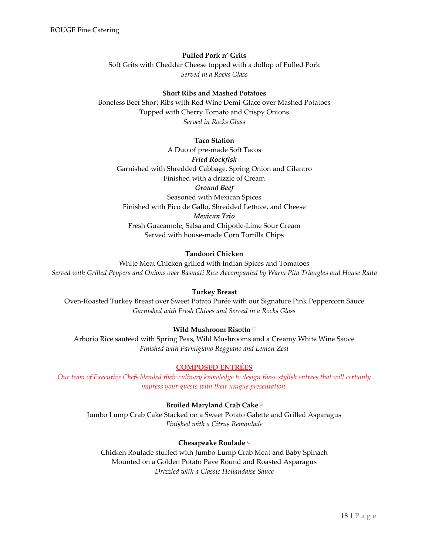#### **Pulled Pork n' Grits**

Soft Grits with Cheddar Cheese topped with a dollop of Pulled Pork *Served in a Rocks Glass*

#### **Short Ribs and Mashed Potatoes**

Boneless Beef Short Ribs with Red Wine Demi-Glace over Mashed Potatoes Topped with Cherry Tomato and Crispy Onions *Served in Rocks Glass*

#### **Taco Station**

A Duo of pre-made Soft Tacos *Fried Rockfish* Garnished with Shredded Cabbage, Spring Onion and Cilantro Finished with a drizzle of Cream *Ground Beef* Seasoned with Mexican Spices Finished with Pico de Gallo, Shredded Lettuce, and Cheese *Mexican Trio* Fresh Guacamole, Salsa and Chipotle-Lime Sour Cream Served with house-made Corn Tortilla Chips

# **Tandoori Chicken**

White Meat Chicken grilled with Indian Spices and Tomatoes *Served with Grilled Peppers and Onions over Basmati Rice Accompanied by Warm Pita Triangles and House Raita*

#### **Turkey Breast**

Oven-Roasted Turkey Breast over Sweet Potato Purée with our Signature Pink Peppercorn Sauce *Garnished with Fresh Chives and Served in a Rocks Glass*

#### **Wild Mushroom Risotto** <sup>G</sup>

Arborio Rice sautéed with Spring Peas, Wild Mushrooms and a Creamy White Wine Sauce *Finished with Parmigiano Reggiano and Lemon Zest*

### **COMPOSED ENTRÉES**

<span id="page-18-0"></span>*Our team of Executive Chefs blended their culinary knowledge to design these stylish entrees that will certainly impress your guests with their unique presentation.*

**Broiled Maryland Crab Cake** <sup>G</sup>

Jumbo Lump Crab Cake Stacked on a Sweet Potato Galette and Grilled Asparagus *Finished with a Citrus Remoulade*

#### **Chesapeake Roulade** <sup>G</sup>

Chicken Roulade stuffed with Jumbo Lump Crab Meat and Baby Spinach Mounted on a Golden Potato Pave Round and Roasted Asparagus *Drizzled with a Classic Hollandaise Sauce*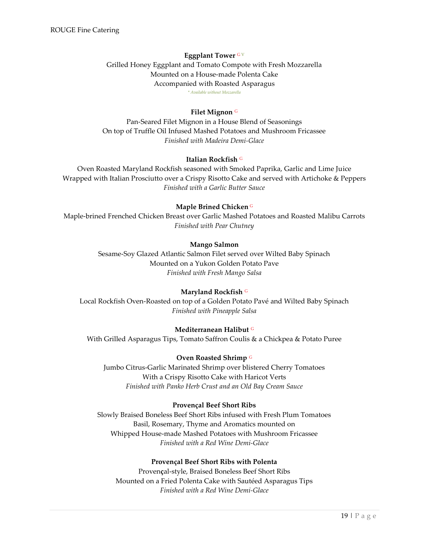#### **Eggplant Tower** G V

Grilled Honey Eggplant and Tomato Compote with Fresh Mozzarella Mounted on a House-made Polenta Cake Accompanied with Roasted Asparagus *\* Available without Mozzarella*

#### **Filet Mignon** <sup>G</sup>

Pan-Seared Filet Mignon in a House Blend of Seasonings On top of Truffle Oil Infused Mashed Potatoes and Mushroom Fricassee *Finished with Madeira Demi-Glace*

#### **Italian Rockfish** <sup>G</sup>

Oven Roasted Maryland Rockfish seasoned with Smoked Paprika, Garlic and Lime Juice Wrapped with Italian Prosciutto over a Crispy Risotto Cake and served with Artichoke & Peppers *Finished with a Garlic Butter Sauce*

#### **Maple Brined Chicken** <sup>G</sup>

Maple-brined Frenched Chicken Breast over Garlic Mashed Potatoes and Roasted Malibu Carrots *Finished with Pear Chutney*

#### **Mango Salmon**

Sesame-Soy Glazed Atlantic Salmon Filet served over Wilted Baby Spinach Mounted on a Yukon Golden Potato Pave *Finished with Fresh Mango Salsa*

#### **Maryland Rockfish** <sup>G</sup>

Local Rockfish Oven-Roasted on top of a Golden Potato Pavé and Wilted Baby Spinach *Finished with Pineapple Salsa*

#### **Mediterranean Halibut** <sup>G</sup>

With Grilled Asparagus Tips, Tomato Saffron Coulis & a Chickpea & Potato Puree

#### **Oven Roasted Shrimp** <sup>G</sup>

Jumbo Citrus-Garlic Marinated Shrimp over blistered Cherry Tomatoes With a Crispy Risotto Cake with Haricot Verts *Finished with Panko Herb Crust and an Old Bay Cream Sauce*

# **Provençal Beef Short Ribs**

Slowly Braised Boneless Beef Short Ribs infused with Fresh Plum Tomatoes Basil, Rosemary, Thyme and Aromatics mounted on Whipped House-made Mashed Potatoes with Mushroom Fricassee *Finished with a Red Wine Demi-Glace*

#### **Provençal Beef Short Ribs with Polenta**

Proven**ç**al-style, Braised Boneless Beef Short Ribs Mounted on a Fried Polenta Cake with Sautéed Asparagus Tips *Finished with a Red Wine Demi-Glace*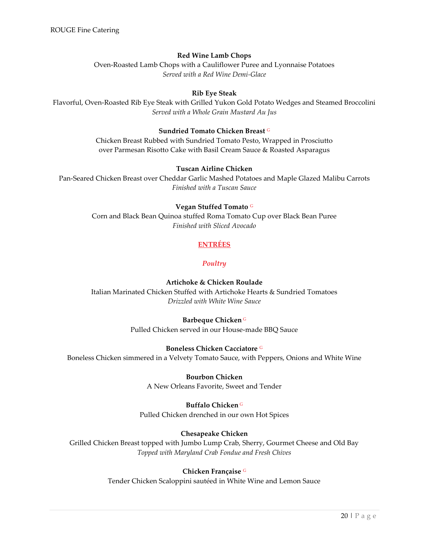# **Red Wine Lamb Chops**

Oven-Roasted Lamb Chops with a Cauliflower Puree and Lyonnaise Potatoes *Served with a Red Wine Demi-Glace*

# **Rib Eye Steak**

Flavorful, Oven-Roasted Rib Eye Steak with Grilled Yukon Gold Potato Wedges and Steamed Broccolini *Served with a Whole Grain Mustard Au Jus*

#### **Sundried Tomato Chicken Breast** <sup>G</sup>

Chicken Breast Rubbed with Sundried Tomato Pesto, Wrapped in Prosciutto over Parmesan Risotto Cake with Basil Cream Sauce & Roasted Asparagus

#### **Tuscan Airline Chicken**

Pan-Seared Chicken Breast over Cheddar Garlic Mashed Potatoes and Maple Glazed Malibu Carrots *Finished with a Tuscan Sauce*

#### **Vegan Stuffed Tomato** <sup>G</sup>

<span id="page-20-0"></span>Corn and Black Bean Quinoa stuffed Roma Tomato Cup over Black Bean Puree *Finished with Sliced Avocado*

# **ENTRÉES**

## *Poultry*

## **Artichoke & Chicken Roulade**

<span id="page-20-1"></span>Italian Marinated Chicken Stuffed with Artichoke Hearts & Sundried Tomatoes *Drizzled with White Wine Sauce*

#### **Barbeque Chicken** <sup>G</sup>

Pulled Chicken served in our House-made BBQ Sauce

#### **Boneless Chicken Cacciatore** <sup>G</sup>

Boneless Chicken simmered in a Velvety Tomato Sauce, with Peppers, Onions and White Wine

**Bourbon Chicken** A New Orleans Favorite, Sweet and Tender

#### **Buffalo Chicken** <sup>G</sup>

Pulled Chicken drenched in our own Hot Spices

## **Chesapeake Chicken**

Grilled Chicken Breast topped with Jumbo Lump Crab, Sherry, Gourmet Cheese and Old Bay *Topped with Maryland Crab Fondue and Fresh Chives*

#### **Chicken Française** <sup>G</sup>

Tender Chicken Scaloppini sautéed in White Wine and Lemon Sauce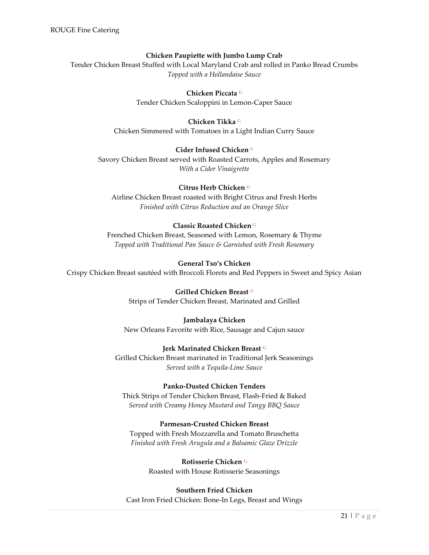#### **Chicken Paupiette with Jumbo Lump Crab**

Tender Chicken Breast Stuffed with Local Maryland Crab and rolled in Panko Bread Crumbs *Topped with a Hollandaise Sauce*

## **Chicken Piccata** <sup>G</sup>

Tender Chicken Scaloppini in Lemon-Caper Sauce

#### **Chicken Tikka** <sup>G</sup>

Chicken Simmered with Tomatoes in a Light Indian Curry Sauce

#### **Cider Infused Chicken** <sup>G</sup>

Savory Chicken Breast served with Roasted Carrots, Apples and Rosemary *With a Cider Vinaigrette*

#### **Citrus Herb Chicken** <sup>G</sup>

Airline Chicken Breast roasted with Bright Citrus and Fresh Herbs *Finished with Citrus Reduction and an Orange Slice*

## **Classic Roasted Chicken** <sup>G</sup>

Frenched Chicken Breast, Seasoned with Lemon, Rosemary & Thyme *Topped with Traditional Pan Sauce & Garnished with Fresh Rosemary*

#### **General Tso's Chicken**

Crispy Chicken Breast sautéed with Broccoli Florets and Red Peppers in Sweet and Spicy Asian

**Grilled Chicken Breast** <sup>G</sup> Strips of Tender Chicken Breast, Marinated and Grilled

#### **Jambalaya Chicken** New Orleans Favorite with Rice, Sausage and Cajun sauce

## **Jerk Marinated Chicken Breast** <sup>G</sup>

Grilled Chicken Breast marinated in Traditional Jerk Seasonings *Served with a Tequila-Lime Sauce*

#### **Panko-Dusted Chicken Tenders**

Thick Strips of Tender Chicken Breast, Flash-Fried & Baked *Served with Creamy Honey Mustard and Tangy BBQ Sauce*

#### **Parmesan-Crusted Chicken Breast**

Topped with Fresh Mozzarella and Tomato Bruschetta *Finished with Fresh Arugula and a Balsamic Glaze Drizzle*

# **Rotisserie Chicken** <sup>G</sup>

Roasted with House Rotisserie Seasonings

#### **Southern Fried Chicken**

Cast Iron Fried Chicken: Bone-In Legs, Breast and Wings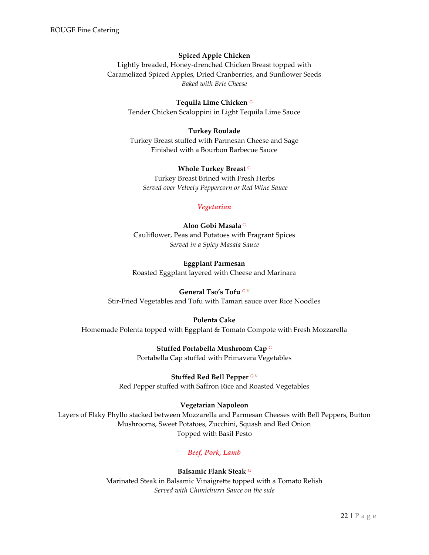#### **Spiced Apple Chicken**

Lightly breaded, Honey-drenched Chicken Breast topped with Caramelized Spiced Apples, Dried Cranberries, and Sunflower Seeds *Baked with Brie Cheese*

**Tequila Lime Chicken** <sup>G</sup> Tender Chicken Scaloppini in Light Tequila Lime Sauce

#### **Turkey Roulade**

Turkey Breast stuffed with Parmesan Cheese and Sage Finished with a Bourbon Barbecue Sauce

> **Whole Turkey Breast** <sup>G</sup> Turkey Breast Brined with Fresh Herbs

*Served over Velvety Peppercorn or Red Wine Sauce*

#### *Vegetarian*

<span id="page-22-0"></span>**Aloo Gobi Masala** <sup>G</sup> Cauliflower, Peas and Potatoes with Fragrant Spices *Served in a Spicy Masala Sauce*

**Eggplant Parmesan** Roasted Eggplant layered with Cheese and Marinara

#### **General Tso's Tofu** <sup>G</sup> <sup>V</sup>

Stir-Fried Vegetables and Tofu with Tamari sauce over Rice Noodles

#### **Polenta Cake**

Homemade Polenta topped with Eggplant & Tomato Compote with Fresh Mozzarella

**Stuffed Portabella Mushroom Cap** <sup>G</sup> Portabella Cap stuffed with Primavera Vegetables

**Stuffed Red Bell Pepper** GV Red Pepper stuffed with Saffron Rice and Roasted Vegetables

#### **Vegetarian Napoleon**

<span id="page-22-1"></span>Layers of Flaky Phyllo stacked between Mozzarella and Parmesan Cheeses with Bell Peppers, Button Mushrooms, Sweet Potatoes, Zucchini, Squash and Red Onion Topped with Basil Pesto

## *Beef, Pork, Lamb*

**Balsamic Flank Steak** <sup>G</sup> Marinated Steak in Balsamic Vinaigrette topped with a Tomato Relish *Served with Chimichurri Sauce on the side*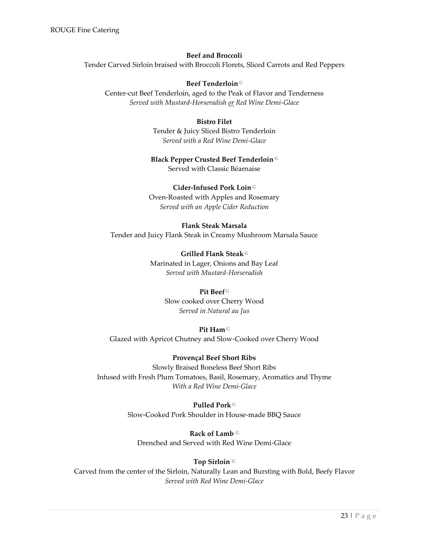# **Beef and Broccoli** Tender Carved Sirloin braised with Broccoli Florets, Sliced Carrots and Red Peppers

#### **Beef Tenderloin** <sup>G</sup>

Center-cut Beef Tenderloin, aged to the Peak of Flavor and Tenderness *Served with Mustard-Horseradish or Red Wine Demi-Glace*

#### **Bistro Filet**

Tender & Juicy Sliced Bistro Tenderloin *Served with a Red Wine Demi-Glace*

#### **Black Pepper Crusted Beef Tenderloin** <sup>G</sup>

Served with Classic Béarnaise

#### **Cider-Infused Pork Loin** <sup>G</sup>

Oven-Roasted with Apples and Rosemary *Served with an Apple Cider Reduction*

#### **Flank Steak Marsala**

Tender and Juicy Flank Steak in Creamy Mushroom Marsala Sauce

**Grilled Flank Steak** <sup>G</sup> Marinated in Lager, Onions and Bay Leaf *Served with Mustard-Horseradish*

#### **Pit Beef** <sup>G</sup>

Slow cooked over Cherry Wood *Served in Natural au Jus*

#### **Pit Ham** <sup>G</sup>

Glazed with Apricot Chutney and Slow-Cooked over Cherry Wood

## **Provençal Beef Short Ribs**

Slowly Braised Boneless Beef Short Ribs Infused with Fresh Plum Tomatoes, Basil, Rosemary, Aromatics and Thyme *With a Red Wine Demi-Glace*

# **Pulled Pork** <sup>G</sup>

Slow-Cooked Pork Shoulder in House-made BBQ Sauce

**Rack of Lamb** <sup>G</sup> Drenched and Served with Red Wine Demi-Glace

## **Top Sirloin** <sup>G</sup>

<span id="page-23-0"></span>Carved from the center of the Sirloin, Naturally Lean and Bursting with Bold, Beefy Flavor *Served with Red Wine Demi-Glace*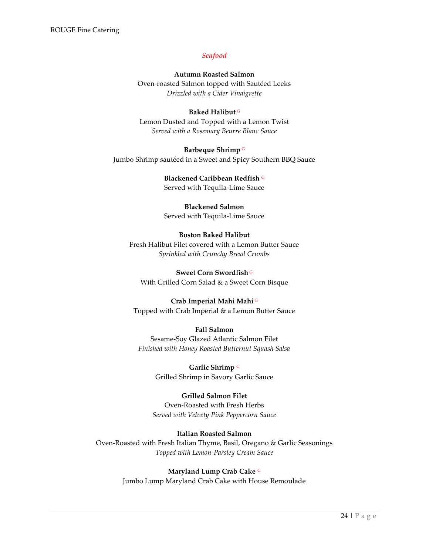#### *Seafood*

# **Autumn Roasted Salmon** Oven-roasted Salmon topped with Sautéed Leeks *Drizzled with a Cider Vinaigrette*

# **Baked Halibut** <sup>G</sup> Lemon Dusted and Topped with a Lemon Twist

*Served with a Rosemary Beurre Blanc Sauce*

### **Barbeque Shrimp** <sup>G</sup>

Jumbo Shrimp sautéed in a Sweet and Spicy Southern BBQ Sauce

**Blackened Caribbean Redfish** <sup>G</sup> Served with Tequila-Lime Sauce

# **Blackened Salmon**

Served with Tequila-Lime Sauce

# **Boston Baked Halibut**

Fresh Halibut Filet covered with a Lemon Butter Sauce *Sprinkled with Crunchy Bread Crumbs*

## **Sweet Corn Swordfish** <sup>G</sup> With Grilled Corn Salad & a Sweet Corn Bisque

# **Crab Imperial Mahi Mahi** <sup>G</sup>

Topped with Crab Imperial & a Lemon Butter Sauce

## **Fall Salmon**

Sesame-Soy Glazed Atlantic Salmon Filet *Finished with Honey Roasted Butternut Squash Salsa*

> **Garlic Shrimp** <sup>G</sup> Grilled Shrimp in Savory Garlic Sauce

# **Grilled Salmon Filet**

Oven-Roasted with Fresh Herbs *Served with Velvety Pink Peppercorn Sauce*

# **Italian Roasted Salmon**

Oven-Roasted with Fresh Italian Thyme, Basil, Oregano & Garlic Seasonings *Topped with Lemon-Parsley Cream Sauce*

# **Maryland Lump Crab Cake** <sup>G</sup>

Jumbo Lump Maryland Crab Cake with House Remoulade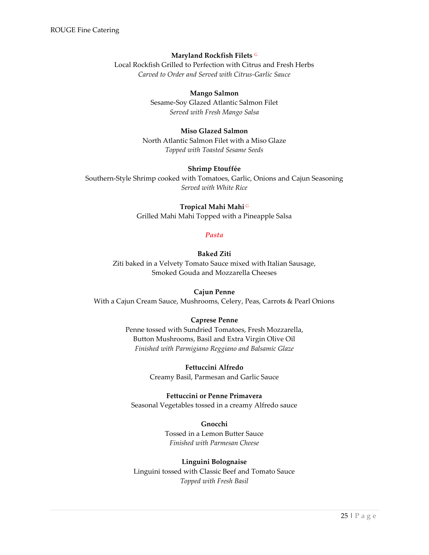#### **Maryland Rockfish Filets** <sup>G</sup>

Local Rockfish Grilled to Perfection with Citrus and Fresh Herbs *Carved to Order and Served with Citrus-Garlic Sauce*

#### **Mango Salmon**

Sesame-Soy Glazed Atlantic Salmon Filet *Served with Fresh Mango Salsa*

#### **Miso Glazed Salmon**

North Atlantic Salmon Filet with a Miso Glaze *Topped with Toasted Sesame Seeds*

#### **Shrimp Etouffée**

<span id="page-25-0"></span>Southern-Style Shrimp cooked with Tomatoes, Garlic, Onions and Cajun Seasoning *Served with White Rice*

#### **Tropical Mahi Mahi** <sup>G</sup>

Grilled Mahi Mahi Topped with a Pineapple Salsa

#### *Pasta*

**Baked Ziti**

Ziti baked in a Velvety Tomato Sauce mixed with Italian Sausage, Smoked Gouda and Mozzarella Cheeses

#### **Cajun Penne**

With a Cajun Cream Sauce, Mushrooms, Celery, Peas, Carrots & Pearl Onions

#### **Caprese Penne**

Penne tossed with Sundried Tomatoes, Fresh Mozzarella, Button Mushrooms, Basil and Extra Virgin Olive Oil *Finished with Parmigiano Reggiano and Balsamic Glaze*

> **Fettuccini Alfredo** Creamy Basil, Parmesan and Garlic Sauce

**Fettuccini or Penne Primavera**

Seasonal Vegetables tossed in a creamy Alfredo sauce

**Gnocchi** Tossed in a Lemon Butter Sauce *Finished with Parmesan Cheese*

#### **Linguini Bolognaise**

Linguini tossed with Classic Beef and Tomato Sauce *Topped with Fresh Basil*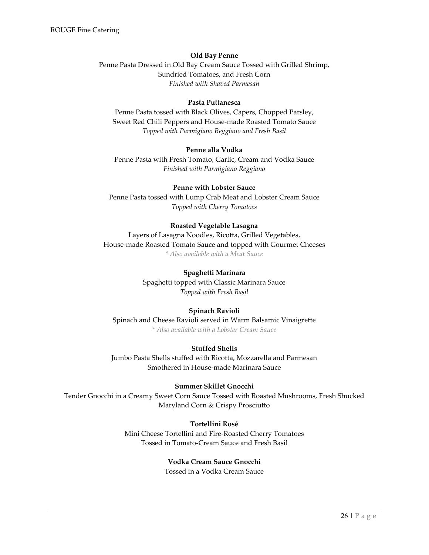#### **Old Bay Penne**

Penne Pasta Dressed in Old Bay Cream Sauce Tossed with Grilled Shrimp, Sundried Tomatoes, and Fresh Corn *Finished with Shaved Parmesan*

#### **Pasta Puttanesca**

Penne Pasta tossed with Black Olives, Capers, Chopped Parsley, Sweet Red Chili Peppers and House-made Roasted Tomato Sauce *Topped with Parmigiano Reggiano and Fresh Basil*

#### **Penne alla Vodka**

Penne Pasta with Fresh Tomato, Garlic, Cream and Vodka Sauce *Finished with Parmigiano Reggiano*

#### **Penne with Lobster Sauce**

Penne Pasta tossed with Lump Crab Meat and Lobster Cream Sauce *Topped with Cherry Tomatoes*

#### **Roasted Vegetable Lasagna**

Layers of Lasagna Noodles, Ricotta, Grilled Vegetables, House-made Roasted Tomato Sauce and topped with Gourmet Cheeses *\* Also available with a Meat Sauce*

#### **Spaghetti Marinara**

Spaghetti topped with Classic Marinara Sauce *Topped with Fresh Basil*

#### **Spinach Ravioli**

Spinach and Cheese Ravioli served in Warm Balsamic Vinaigrette *\* Also available with a Lobster Cream Sauce*

#### **Stuffed Shells**

Jumbo Pasta Shells stuffed with Ricotta, Mozzarella and Parmesan Smothered in House-made Marinara Sauce

#### **Summer Skillet Gnocchi**

Tender Gnocchi in a Creamy Sweet Corn Sauce Tossed with Roasted Mushrooms, Fresh Shucked Maryland Corn & Crispy Prosciutto

#### **Tortellini Rosé**

<span id="page-26-0"></span>Mini Cheese Tortellini and Fire-Roasted Cherry Tomatoes Tossed in Tomato-Cream Sauce and Fresh Basil

#### **Vodka Cream Sauce Gnocchi**

Tossed in a Vodka Cream Sauce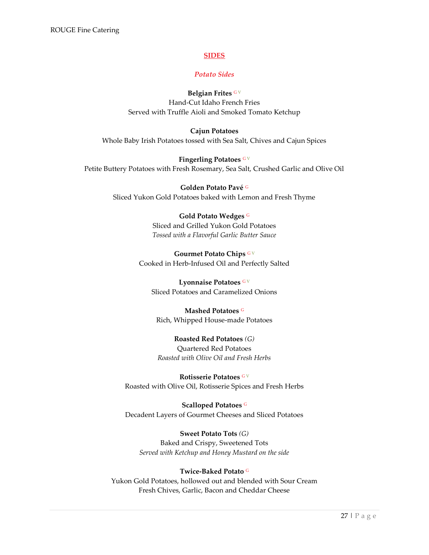#### **SIDES**

#### *Potato Sides*

#### **Belgian Frites** <sup>G</sup> <sup>V</sup>

Hand-Cut Idaho French Fries Served with Truffle Aioli and Smoked Tomato Ketchup

<span id="page-27-0"></span>**Cajun Potatoes** Whole Baby Irish Potatoes tossed with Sea Salt, Chives and Cajun Spices

**Fingerling Potatoes** G V Petite Buttery Potatoes with Fresh Rosemary, Sea Salt, Crushed Garlic and Olive Oil

> **Golden Potato Pavé** <sup>G</sup> Sliced Yukon Gold Potatoes baked with Lemon and Fresh Thyme

#### **Gold Potato Wedges** <sup>G</sup>

Sliced and Grilled Yukon Gold Potatoes *Tossed with a Flavorful Garlic Butter Sauce*

Gourmet Potato Chips GV Cooked in Herb-Infused Oil and Perfectly Salted

**Lyonnaise Potatoes** G V Sliced Potatoes and Caramelized Onions

**Mashed Potatoes** <sup>G</sup> Rich, Whipped House-made Potatoes

**Roasted Red Potatoes** *(G)* Quartered Red Potatoes *Roasted with Olive Oil and Fresh Herbs*

**Rotisserie Potatoes** G V Roasted with Olive Oil, Rotisserie Spices and Fresh Herbs

**Scalloped Potatoes** <sup>G</sup> Decadent Layers of Gourmet Cheeses and Sliced Potatoes

**Sweet Potato Tots** *(G)* Baked and Crispy, Sweetened Tots *Served with Ketchup and Honey Mustard on the side*

#### **Twice-Baked Potato** <sup>G</sup>

Yukon Gold Potatoes, hollowed out and blended with Sour Cream Fresh Chives, Garlic, Bacon and Cheddar Cheese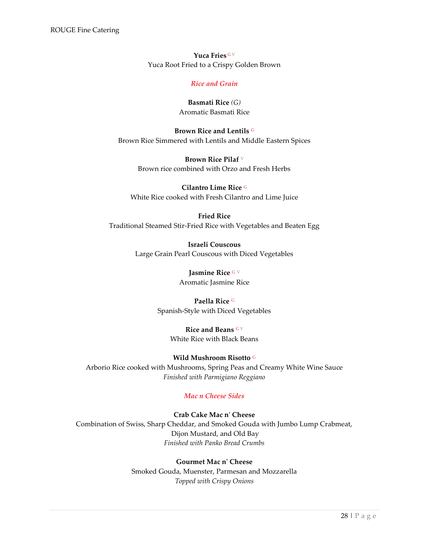**Yuca Fries** <sup>G</sup> <sup>V</sup> Yuca Root Fried to a Crispy Golden Brown

#### *Rice and Grain*

**Basmati Rice** *(G)* Aromatic Basmati Rice

<span id="page-28-0"></span>**Brown Rice and Lentils** <sup>G</sup> Brown Rice Simmered with Lentils and Middle Eastern Spices

> **Brown Rice Pilaf** <sup>V</sup> Brown rice combined with Orzo and Fresh Herbs

**Cilantro Lime Rice** <sup>G</sup> White Rice cooked with Fresh Cilantro and Lime Juice

# **Fried Rice**

Traditional Steamed Stir-Fried Rice with Vegetables and Beaten Egg

**Israeli Couscous** Large Grain Pearl Couscous with Diced Vegetables

> **Jasmine Rice** <sup>G</sup> <sup>V</sup> Aromatic Jasmine Rice

**Paella Rice** <sup>G</sup> Spanish-Style with Diced Vegetables

> **Rice and Beans** <sup>G</sup> <sup>V</sup> White Rice with Black Beans

#### **Wild Mushroom Risotto** <sup>G</sup>

Arborio Rice cooked with Mushrooms, Spring Peas and Creamy White Wine Sauce *Finished with Parmigiano Reggiano*

## *Mac n Cheese Sides*

<span id="page-28-1"></span>**Crab Cake Mac n' Cheese** Combination of Swiss, Sharp Cheddar, and Smoked Gouda with Jumbo Lump Crabmeat, Dijon Mustard, and Old Bay *Finished with Panko Bread Crumbs*

> **Gourmet Mac n' Cheese** Smoked Gouda, Muenster, Parmesan and Mozzarella *Topped with Crispy Onions*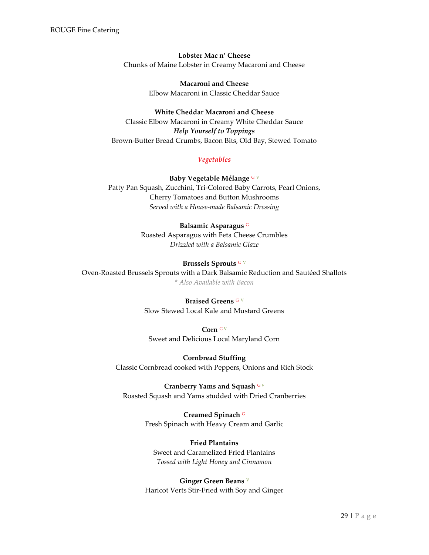**Lobster Mac n' Cheese** Chunks of Maine Lobster in Creamy Macaroni and Cheese

> **Macaroni and Cheese** Elbow Macaroni in Classic Cheddar Sauce

**White Cheddar Macaroni and Cheese** Classic Elbow Macaroni in Creamy White Cheddar Sauce *Help Yourself to Toppings* Brown-Butter Bread Crumbs, Bacon Bits, Old Bay, Stewed Tomato

# *Vegetables*

# <span id="page-29-0"></span>**Baby Vegetable Mélange** <sup>G</sup> <sup>V</sup> Patty Pan Squash, Zucchini, Tri-Colored Baby Carrots, Pearl Onions, Cherry Tomatoes and Button Mushrooms *Served with a House-made Balsamic Dressing*

# **Balsamic Asparagus** <sup>G</sup>

Roasted Asparagus with Feta Cheese Crumbles *Drizzled with a Balsamic Glaze*

# **Brussels Sprouts** <sup>G</sup> <sup>V</sup>

Oven-Roasted Brussels Sprouts with a Dark Balsamic Reduction and Sautéed Shallots *\* Also Available with Bacon*

# **Braised Greens** <sup>G</sup> <sup>V</sup>

Slow Stewed Local Kale and Mustard Greens

**Corn** <sup>G</sup> <sup>V</sup>

Sweet and Delicious Local Maryland Corn

## **Cornbread Stuffing**

Classic Cornbread cooked with Peppers, Onions and Rich Stock

## **Cranberry Yams and Squash GV**

Roasted Squash and Yams studded with Dried Cranberries

## **Creamed Spinach** <sup>G</sup>

Fresh Spinach with Heavy Cream and Garlic

# **Fried Plantains**

Sweet and Caramelized Fried Plantains *Tossed with Light Honey and Cinnamon*

## **Ginger Green Beans** <sup>V</sup>

Haricot Verts Stir-Fried with Soy and Ginger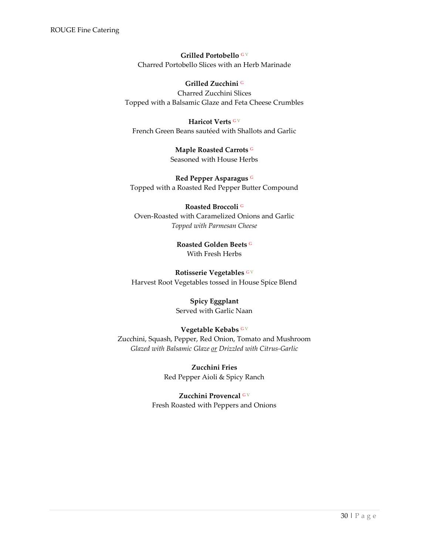**Grilled Portobello** <sup>G</sup> <sup>V</sup> Charred Portobello Slices with an Herb Marinade

#### **Grilled Zucchini** <sup>G</sup>

Charred Zucchini Slices Topped with a Balsamic Glaze and Feta Cheese Crumbles

**Haricot Verts** G V French Green Beans sautéed with Shallots and Garlic

> **Maple Roasted Carrots** <sup>G</sup> Seasoned with House Herbs

**Red Pepper Asparagus** <sup>G</sup> Topped with a Roasted Red Pepper Butter Compound

**Roasted Broccoli** <sup>G</sup> Oven-Roasted with Caramelized Onions and Garlic *Topped with Parmesan Cheese*

> **Roasted Golden Beets** <sup>G</sup> With Fresh Herbs

**Rotisserie Vegetables** <sup>G</sup> <sup>V</sup> Harvest Root Vegetables tossed in House Spice Blend

# **Spicy Eggplant**

Served with Garlic Naan

# **Vegetable Kebabs** <sup>G</sup> <sup>V</sup>

Zucchini, Squash, Pepper, Red Onion, Tomato and Mushroom *Glazed with Balsamic Glaze or Drizzled with Citrus-Garlic*

> **Zucchini Fries** Red Pepper Aioli & Spicy Ranch

<span id="page-30-0"></span>**Zucchini Provencal** <sup>G</sup> <sup>V</sup> Fresh Roasted with Peppers and Onions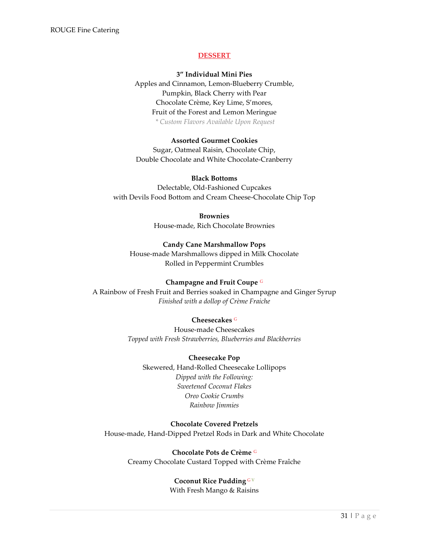#### **DESSERT**

#### **3" Individual Mini Pies**

Apples and Cinnamon, Lemon-Blueberry Crumble, Pumpkin, Black Cherry with Pear Chocolate Crème, Key Lime, S'mores, Fruit of the Forest and Lemon Meringue *\* Custom Flavors Available Upon Request*

#### **Assorted Gourmet Cookies**

Sugar, Oatmeal Raisin, Chocolate Chip, Double Chocolate and White Chocolate-Cranberry

#### **Black Bottoms**

Delectable, Old-Fashioned Cupcakes with Devils Food Bottom and Cream Cheese-Chocolate Chip Top

#### **Brownies**

House-made, Rich Chocolate Brownies

#### **Candy Cane Marshmallow Pops**

House-made Marshmallows dipped in Milk Chocolate Rolled in Peppermint Crumbles

#### **Champagne and Fruit Coupe** <sup>G</sup>

A Rainbow of Fresh Fruit and Berries soaked in Champagne and Ginger Syrup *Finished with a dollop of Crème Fraiche*

#### **Cheesecakes** <sup>G</sup>

House-made Cheesecakes *Topped with Fresh Strawberries, Blueberries and Blackberries*

#### **Cheesecake Pop**

Skewered, Hand-Rolled Cheesecake Lollipops *Dipped with the Following: Sweetened Coconut Flakes Oreo Cookie Crumbs Rainbow Jimmies*

## **Chocolate Covered Pretzels**

House-made, Hand-Dipped Pretzel Rods in Dark and White Chocolate

**Chocolate Pots de Crème** <sup>G</sup> Creamy Chocolate Custard Topped with Crème Fraîche

# **Coconut Rice Pudding** <sup>G</sup> <sup>V</sup>

With Fresh Mango & Raisins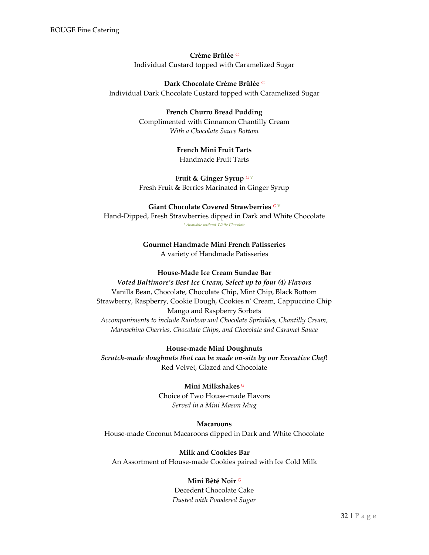**Crème Brûlée** <sup>G</sup> Individual Custard topped with Caramelized Sugar

**Dark Chocolate Crème Brûlée** <sup>G</sup> Individual Dark Chocolate Custard topped with Caramelized Sugar

> **French Churro Bread Pudding** Complimented with Cinnamon Chantilly Cream *With a Chocolate Sauce Bottom*

# **French Mini Fruit Tarts** Handmade Fruit Tarts

**Fruit & Ginger Syrup** <sup>G</sup> <sup>V</sup> Fresh Fruit & Berries Marinated in Ginger Syrup

# **Giant Chocolate Covered Strawberries** <sup>G</sup> <sup>V</sup>

Hand-Dipped, Fresh Strawberries dipped in Dark and White Chocolate *\* Available without White Chocolate*

# **Gourmet Handmade Mini French Patisseries** A variety of Handmade Patisseries

# **House-Made Ice Cream Sundae Bar**

# *Voted Baltimore's Best Ice Cream, Select up to four (4) Flavors* Vanilla Bean, Chocolate, Chocolate Chip, Mint Chip, Black Bottom Strawberry, Raspberry, Cookie Dough, Cookies n' Cream, Cappuccino Chip Mango and Raspberry Sorbets *Accompaniments to include Rainbow and Chocolate Sprinkles, Chantilly Cream, Maraschino Cherries, Chocolate Chips, and Chocolate and Caramel Sauce*

**House-made Mini Doughnuts** *Scratch-made doughnuts that can be made on-site by our Executive Chef*! Red Velvet, Glazed and Chocolate

## **Mini Milkshakes** <sup>G</sup>

Choice of Two House-made Flavors *Served in a Mini Mason Mug*

## **Macaroons**

House-made Coconut Macaroons dipped in Dark and White Chocolate

**Milk and Cookies Bar** An Assortment of House-made Cookies paired with Ice Cold Milk

# **Mini Bêté Noir** <sup>G</sup>

Decedent Chocolate Cake *Dusted with Powdered Sugar*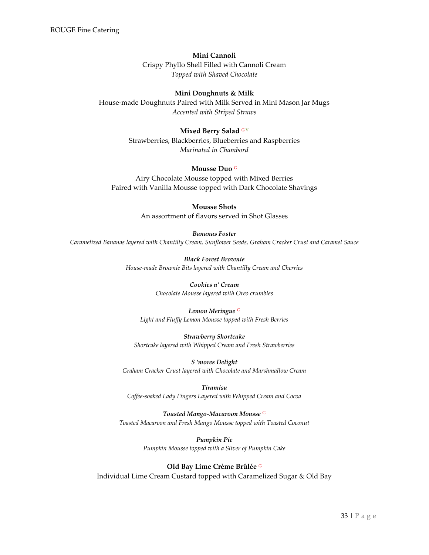#### **Mini Cannoli**

Crispy Phyllo Shell Filled with Cannoli Cream *Topped with Shaved Chocolate*

#### **Mini Doughnuts & Milk**

House-made Doughnuts Paired with Milk Served in Mini Mason Jar Mugs *Accented with Striped Straws*

#### **Mixed Berry Salad** GV

Strawberries, Blackberries, Blueberries and Raspberries *Marinated in Chambord*

#### **Mousse Duo** <sup>G</sup>

Airy Chocolate Mousse topped with Mixed Berries Paired with Vanilla Mousse topped with Dark Chocolate Shavings

> **Mousse Shots** An assortment of flavors served in Shot Glasses

*Bananas Foster Caramelized Bananas layered with Chantilly Cream, Sunflower Seeds, Graham Cracker Crust and Caramel Sauce*

> *Black Forest Brownie House-made Brownie Bits layered with Chantilly Cream and Cherries*

> > *Cookies n' Cream Chocolate Mousse layered with Oreo crumbles*

#### *Lemon Meringue* <sup>G</sup>

*Light and Fluffy Lemon Mousse topped with Fresh Berries*

*Strawberry Shortcake Shortcake layered with Whipped Cream and Fresh Strawberries*

*S 'mores Delight Graham Cracker Crust layered with Chocolate and Marshmallow Cream*

*Tiramisu Coffee-soaked Lady Fingers Layered with Whipped Cream and Cocoa*

#### *Toasted Mango-Macaroon Mousse* <sup>G</sup>

*Toasted Macaroon and Fresh Mango Mousse topped with Toasted Coconut*

*Pumpkin Pie Pumpkin Mousse topped with a Sliver of Pumpkin Cake*

#### **Old Bay Lime Crème Brûlée** <sup>G</sup>

Individual Lime Cream Custard topped with Caramelized Sugar & Old Bay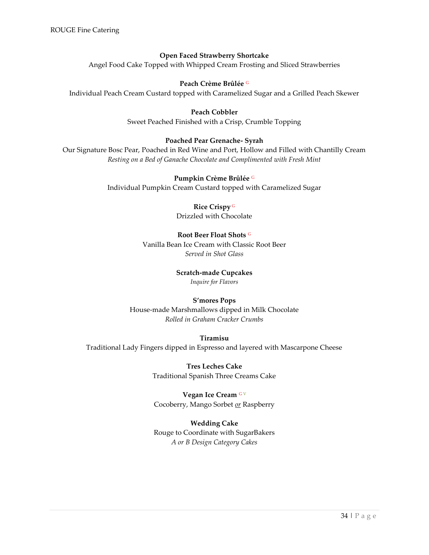# **Open Faced Strawberry Shortcake**

Angel Food Cake Topped with Whipped Cream Frosting and Sliced Strawberries

## **Peach Crème Brûlée** <sup>G</sup>

Individual Peach Cream Custard topped with Caramelized Sugar and a Grilled Peach Skewer

#### **Peach Cobbler**

Sweet Peached Finished with a Crisp, Crumble Topping

## **Poached Pear Grenache- Syrah**

Our Signature Bosc Pear, Poached in Red Wine and Port, Hollow and Filled with Chantilly Cream *Resting on a Bed of Ganache Chocolate and Complimented with Fresh Mint*

#### **Pumpkin Crème Brûlée** <sup>G</sup>

Individual Pumpkin Cream Custard topped with Caramelized Sugar

## **Rice Crispy** <sup>G</sup>

Drizzled with Chocolate

## **Root Beer Float Shots** <sup>G</sup>

Vanilla Bean Ice Cream with Classic Root Beer *Served in Shot Glass*

#### **Scratch-made Cupcakes** *Inquire for Flavors*

# **S'mores Pops**

House-made Marshmallows dipped in Milk Chocolate *Rolled in Graham Cracker Crumbs*

## **Tiramisu**

Traditional Lady Fingers dipped in Espresso and layered with Mascarpone Cheese

**Tres Leches Cake** Traditional Spanish Three Creams Cake

**Vegan Ice Cream** <sup>G</sup> <sup>V</sup> Cocoberry, Mango Sorbet *or* Raspberry

## **Wedding Cake**

<span id="page-34-0"></span>Rouge to Coordinate with SugarBakers *A or B Design Category Cakes*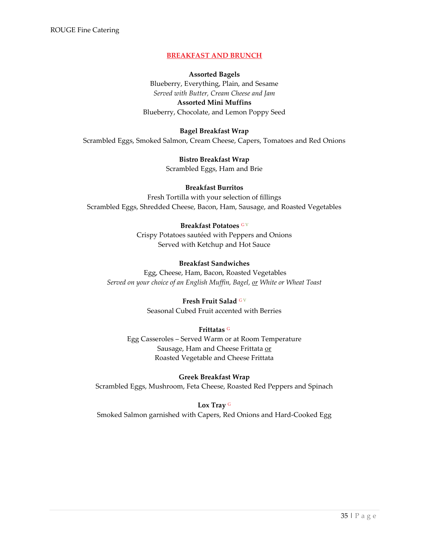## **BREAKFAST AND BRUNCH**

#### **Assorted Bagels**

Blueberry, Everything, Plain, and Sesame *Served with Butter, Cream Cheese and Jam* **Assorted Mini Muffins** Blueberry, Chocolate, and Lemon Poppy Seed

#### **Bagel Breakfast Wrap**

Scrambled Eggs, Smoked Salmon, Cream Cheese, Capers, Tomatoes and Red Onions

**Bistro Breakfast Wrap** Scrambled Eggs, Ham and Brie

#### **Breakfast Burritos**

Fresh Tortilla with your selection of fillings Scrambled Eggs, Shredded Cheese, Bacon, Ham, Sausage, and Roasted Vegetables

#### **Breakfast Potatoes** <sup>G</sup> <sup>V</sup>

Crispy Potatoes sautéed with Peppers and Onions Served with Ketchup and Hot Sauce

#### **Breakfast Sandwiches**

Egg, Cheese, Ham, Bacon, Roasted Vegetables *Served on your choice of an English Muffin, Bagel, or White or Wheat Toast*

#### **Fresh Fruit Salad GV**

Seasonal Cubed Fruit accented with Berries

#### **Frittatas** <sup>G</sup>

Egg Casseroles – Served Warm or at Room Temperature Sausage, Ham and Cheese Frittata or Roasted Vegetable and Cheese Frittata

#### **Greek Breakfast Wrap**

Scrambled Eggs, Mushroom, Feta Cheese, Roasted Red Peppers and Spinach

#### **Lox Tray** <sup>G</sup>

Smoked Salmon garnished with Capers, Red Onions and Hard-Cooked Egg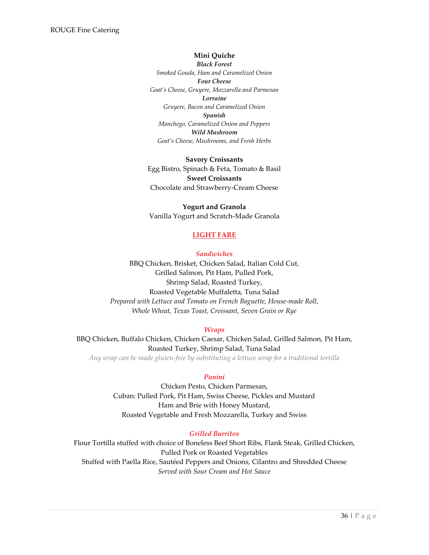#### **Mini Quiche**

*Black Forest Smoked Gouda, Ham and Caramelized Onion Four Cheese Goat's Cheese, Gruyere, Mozzarella and Parmesan Lorraine Gruyere, Bacon and Caramelized Onion Spanish Manchego, Caramelized Onion and Peppers Wild Mushroom Goat's Cheese, Mushrooms, and Fresh Herbs*

**Savory Croissants** Egg Bistro, Spinach & Feta, Tomato & Basil **Sweet Croissants** Chocolate and Strawberry-Cream Cheese

**Yogurt and Granola** Vanilla Yogurt and Scratch-Made Granola

## <span id="page-36-0"></span>**LIGHT FARE**

*Sandwiches* 

<span id="page-36-1"></span>BBQ Chicken, Brisket, Chicken Salad, Italian Cold Cut, Grilled Salmon, Pit Ham, Pulled Pork, Shrimp Salad, Roasted Turkey, Roasted Vegetable Muffaletta, Tuna Salad *Prepared with Lettuce and Tomato on French Baguette, House-made Roll, Whole Wheat, Texas Toast, Croissant, Seven Grain or Rye*

#### *Wraps*

<span id="page-36-3"></span><span id="page-36-2"></span>BBQ Chicken, Buffalo Chicken, Chicken Caesar, Chicken Salad, Grilled Salmon, Pit Ham, Roasted Turkey, Shrimp Salad, Tuna Salad *Any wrap can be made gluten-free by substituting a lettuce wrap for a traditional tortilla*

#### *Panini*

Chicken Pesto, Chicken Parmesan, Cuban: Pulled Pork, Pit Ham, Swiss Cheese, Pickles and Mustard Ham and Brie with Honey Mustard, Roasted Vegetable and Fresh Mozzarella, Turkey and Swiss

#### *Grilled Burritos*

<span id="page-36-5"></span><span id="page-36-4"></span>Flour Tortilla stuffed with choice of Boneless Beef Short Ribs, Flank Steak, Grilled Chicken, Pulled Pork or Roasted Vegetables Stuffed with Paella Rice, Sautéed Peppers and Onions, Cilantro and Shredded Cheese *Served with Sour Cream and Hot Sauce*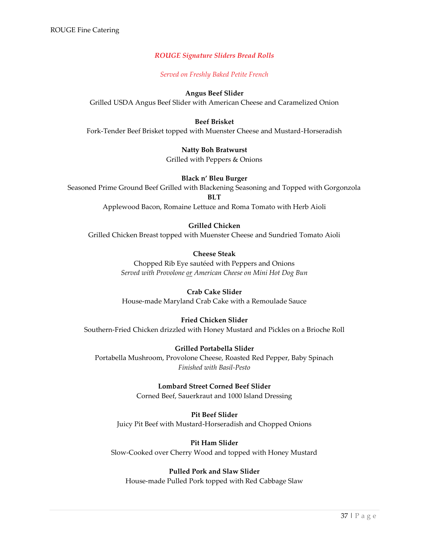# *ROUGE Signature Sliders Bread Rolls*

*Served on Freshly Baked Petite French*

## **Angus Beef Slider**

Grilled USDA Angus Beef Slider with American Cheese and Caramelized Onion

## **Beef Brisket**

Fork-Tender Beef Brisket topped with Muenster Cheese and Mustard-Horseradish

## **Natty Boh Bratwurst**

Grilled with Peppers & Onions

## **Black n' Bleu Burger**

Seasoned Prime Ground Beef Grilled with Blackening Seasoning and Topped with Gorgonzola

**BLT**

Applewood Bacon, Romaine Lettuce and Roma Tomato with Herb Aioli

# **Grilled Chicken**

Grilled Chicken Breast topped with Muenster Cheese and Sundried Tomato Aioli

# **Cheese Steak**

Chopped Rib Eye sautéed with Peppers and Onions *Served with Provolone or American Cheese on Mini Hot Dog Bun*

# **Crab Cake Slider**

House-made Maryland Crab Cake with a Remoulade Sauce

## **Fried Chicken Slider**

Southern-Fried Chicken drizzled with Honey Mustard and Pickles on a Brioche Roll

#### **Grilled Portabella Slider** Portabella Mushroom, Provolone Cheese, Roasted Red Pepper, Baby Spinach *Finished with Basil-Pesto*

**Lombard Street Corned Beef Slider** Corned Beef, Sauerkraut and 1000 Island Dressing

# **Pit Beef Slider** Juicy Pit Beef with Mustard-Horseradish and Chopped Onions

**Pit Ham Slider** Slow-Cooked over Cherry Wood and topped with Honey Mustard

# **Pulled Pork and Slaw Slider**

House-made Pulled Pork topped with Red Cabbage Slaw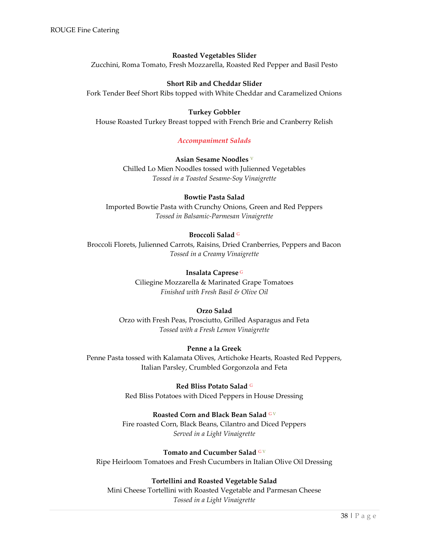#### **Roasted Vegetables Slider**

Zucchini, Roma Tomato, Fresh Mozzarella, Roasted Red Pepper and Basil Pesto

#### **Short Rib and Cheddar Slider**

Fork Tender Beef Short Ribs topped with White Cheddar and Caramelized Onions

#### **Turkey Gobbler**

<span id="page-38-0"></span>House Roasted Turkey Breast topped with French Brie and Cranberry Relish

#### *Accompaniment Salads*

#### **Asian Sesame Noodles** <sup>V</sup>

Chilled Lo Mien Noodles tossed with Julienned Vegetables *Tossed in a Toasted Sesame-Soy Vinaigrette*

# **Bowtie Pasta Salad**

Imported Bowtie Pasta with Crunchy Onions, Green and Red Peppers *Tossed in Balsamic-Parmesan Vinaigrette*

## **Broccoli Salad** <sup>G</sup>

Broccoli Florets, Julienned Carrots, Raisins, Dried Cranberries, Peppers and Bacon *Tossed in a Creamy Vinaigrette*

#### **Insalata Caprese** <sup>G</sup>

Ciliegine Mozzarella & Marinated Grape Tomatoes *Finished with Fresh Basil & Olive Oil*

#### **Orzo Salad**

Orzo with Fresh Peas, Prosciutto, Grilled Asparagus and Feta *Tossed with a Fresh Lemon Vinaigrette*

#### **Penne a la Greek**

Penne Pasta tossed with Kalamata Olives, Artichoke Hearts, Roasted Red Peppers, Italian Parsley, Crumbled Gorgonzola and Feta

> **Red Bliss Potato Salad** <sup>G</sup> Red Bliss Potatoes with Diced Peppers in House Dressing

#### **Roasted Corn and Black Bean Salad GV**

Fire roasted Corn, Black Beans, Cilantro and Diced Peppers *Served in a Light Vinaigrette*

#### Tomato and Cucumber Salad GV

Ripe Heirloom Tomatoes and Fresh Cucumbers in Italian Olive Oil Dressing

## **Tortellini and Roasted Vegetable Salad**

Mini Cheese Tortellini with Roasted Vegetable and Parmesan Cheese *Tossed in a Light Vinaigrette*